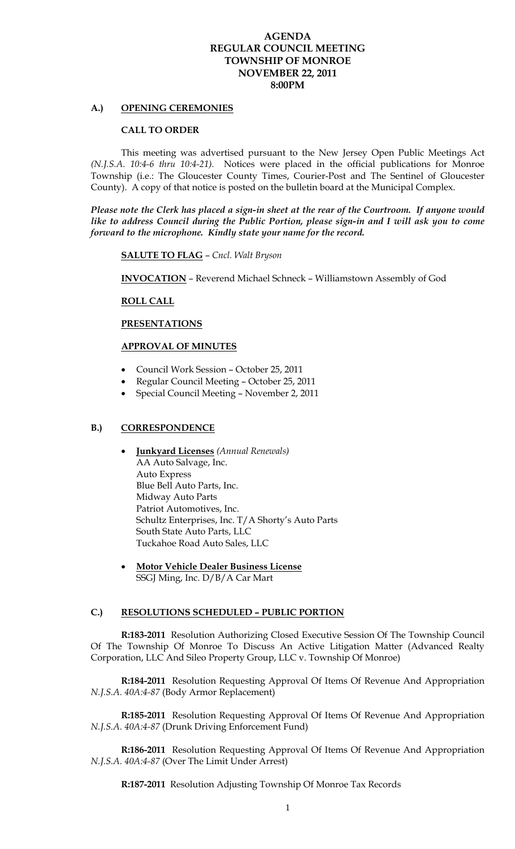# **AGENDA REGULAR COUNCIL MEETING TOWNSHIP OF MONROE NOVEMBER 22, 2011 8:00PM**

# **A.) OPENING CEREMONIES**

### **CALL TO ORDER**

 This meeting was advertised pursuant to the New Jersey Open Public Meetings Act *(N.J.S.A. 10:4-6 thru 10:4-21).* Notices were placed in the official publications for Monroe Township (i.e.: The Gloucester County Times, Courier-Post and The Sentinel of Gloucester County). A copy of that notice is posted on the bulletin board at the Municipal Complex.

*Please note the Clerk has placed a sign-in sheet at the rear of the Courtroom. If anyone would like to address Council during the Public Portion, please sign-in and I will ask you to come forward to the microphone. Kindly state your name for the record.* 

**SALUTE TO FLAG** – *Cncl. Walt Bryson* 

 **INVOCATION** – Reverend Michael Schneck – Williamstown Assembly of God

## **ROLL CALL**

# **PRESENTATIONS**

# **APPROVAL OF MINUTES**

- Council Work Session October 25, 2011
- Regular Council Meeting October 25, 2011
- Special Council Meeting November 2, 2011

### **B.) CORRESPONDENCE**

- **Junkyard Licenses** *(Annual Renewals)* AA Auto Salvage, Inc. Auto Express Blue Bell Auto Parts, Inc. Midway Auto Parts Patriot Automotives, Inc. Schultz Enterprises, Inc. T/A Shorty's Auto Parts South State Auto Parts, LLC Tuckahoe Road Auto Sales, LLC
- **Motor Vehicle Dealer Business License** SSGJ Ming, Inc. D/B/A Car Mart

#### **C.) RESOLUTIONS SCHEDULED – PUBLIC PORTION**

 **R:183-2011** Resolution Authorizing Closed Executive Session Of The Township Council Of The Township Of Monroe To Discuss An Active Litigation Matter (Advanced Realty Corporation, LLC And Sileo Property Group, LLC v. Township Of Monroe)

**R:184-2011** Resolution Requesting Approval Of Items Of Revenue And Appropriation *N.J.S.A. 40A:4-87* (Body Armor Replacement)

**R:185-2011** Resolution Requesting Approval Of Items Of Revenue And Appropriation *N.J.S.A. 40A:4-87* (Drunk Driving Enforcement Fund)

**R:186-2011** Resolution Requesting Approval Of Items Of Revenue And Appropriation *N.J.S.A. 40A:4-87* (Over The Limit Under Arrest)

**R:187-2011** Resolution Adjusting Township Of Monroe Tax Records